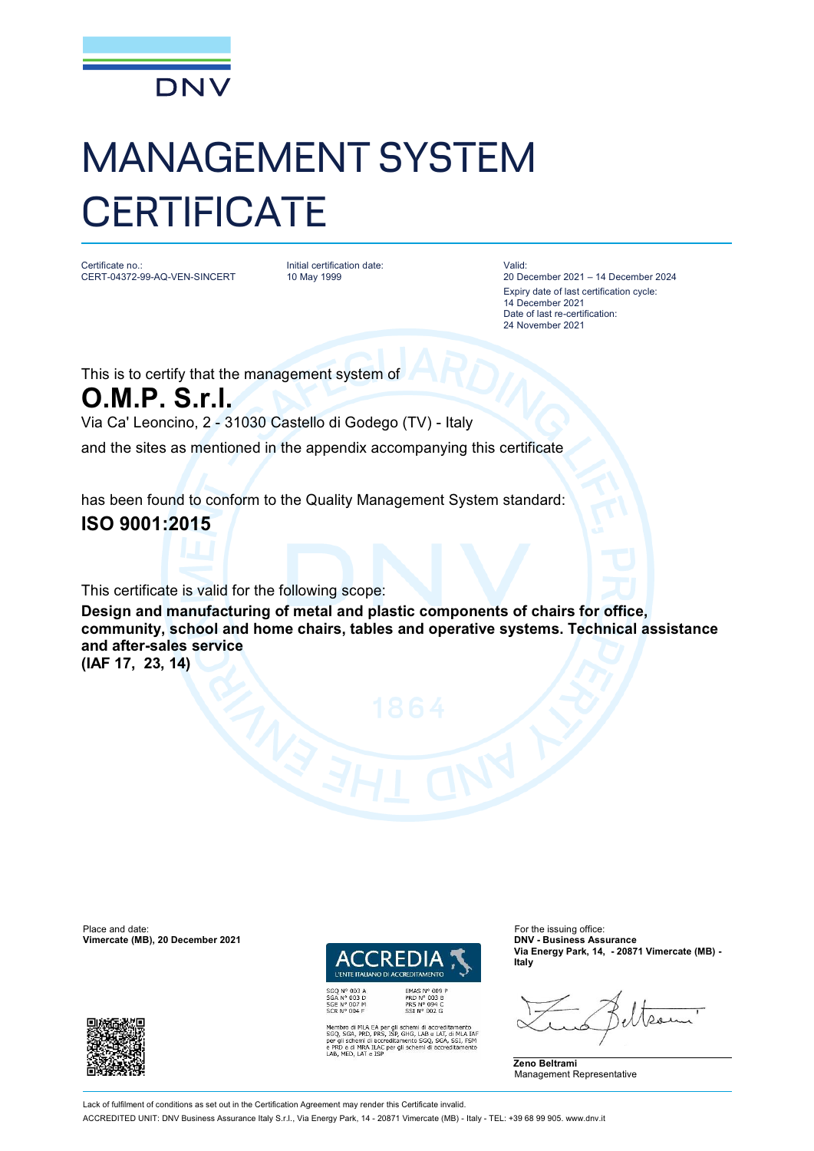

# MANAGEMENT SYSTEM **CERTIFICATE**

Certificate no.: CERT-04372-99-AQ-VEN-SINCERT Initial certification date: 10 May 1999

Valid:

20 December 2021 – 14 December 2024 Expiry date of last certification cycle: 14 December 2021 Date of last re-certification: 24 November 2021

This is to certify that the management system of

## **O.M.P. S.r.l.**

Via Ca' Leoncino, 2 - 31030 Castello di Godego (TV) - Italy

and the sites as mentioned in the appendix accompanying this certificate

has been found to conform to the Quality Management System standard:

### **ISO 9001:2015**

This certificate is valid for the following scope:

**Design and manufacturing of metal and plastic components of chairs for office, community, school and home chairs, tables and operative systems. Technical assistance and after-sales service** 

**(IAF 17, 23, 14)** 

Place and date: For the issuing office:<br> **Vimercate (MB), 20 December 2021 Contract COMPUTE CONTRACT CONTRACT CONTRACT CONTRACT CONTRACT CONTRACT CONTR Vimercate (MB), 20 December 2021** 



PRD Nº 003 B<br>PRS Nº 094 C<br>SSI Nº 002 G

SGQ N° 003 A<br>SGA N° 003 D<br>SGE N° 007 M<br>SCR N° 004 F

ro di MLA EA per gli schemi di accreditamento<br>SGA, PRD, PRS, ISP, GHG, LAB e LAT, di MLA IAF<br>Ischemi di accreditamento SGQ, SGA, SSI, FSM<br>e di MRA ILAC per gli schemi di accreditamento ILAC per gli schemi di accr

**Via Energy Park, 14, - 20871 Vimercate (MB) - Italy**





Lack of fulfilment of conditions as set out in the Certification Agreement may render this Certificate invalid.

ACCREDITED UNIT: DNV Business Assurance Italy S.r.l., Via Energy Park, 14 - 20871 Vimercate (MB) - Italy - TEL: +39 68 99 905. www.dnv.it